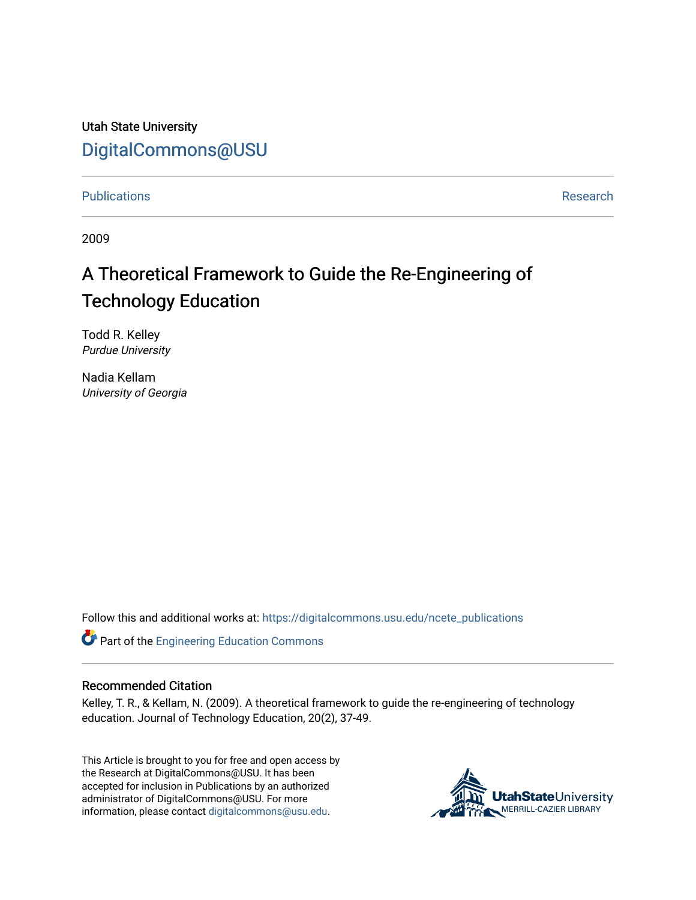Utah State University [DigitalCommons@USU](https://digitalcommons.usu.edu/)

[Publications](https://digitalcommons.usu.edu/ncete_publications) **Research Research Research Research Research Research Research** 

2009

# A Theoretical Framework to Guide the Re-Engineering of Technology Education

Todd R. Kelley Purdue University

Nadia Kellam University of Georgia

Follow this and additional works at: [https://digitalcommons.usu.edu/ncete\\_publications](https://digitalcommons.usu.edu/ncete_publications?utm_source=digitalcommons.usu.edu%2Fncete_publications%2F33&utm_medium=PDF&utm_campaign=PDFCoverPages) 

Part of the [Engineering Education Commons](http://network.bepress.com/hgg/discipline/1191?utm_source=digitalcommons.usu.edu%2Fncete_publications%2F33&utm_medium=PDF&utm_campaign=PDFCoverPages) 

# Recommended Citation

Kelley, T. R., & Kellam, N. (2009). A theoretical framework to guide the re-engineering of technology education. Journal of Technology Education, 20(2), 37-49.

This Article is brought to you for free and open access by the Research at DigitalCommons@USU. It has been accepted for inclusion in Publications by an authorized administrator of DigitalCommons@USU. For more information, please contact [digitalcommons@usu.edu](mailto:digitalcommons@usu.edu).

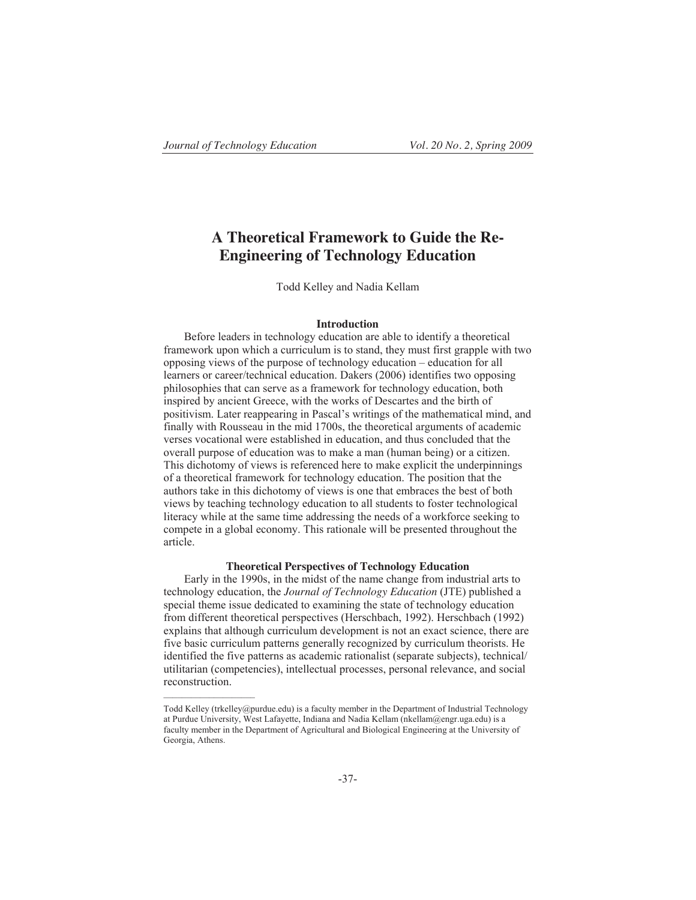# **A Theoretical Framework to Guide the Re-Engineering of Technology Education**

Todd Kelley and Nadia Kellam

#### **Introduction**

Before leaders in technology education are able to identify a theoretical framework upon which a curriculum is to stand, they must first grapple with two opposing views of the purpose of technology education – education for all learners or career/technical education. Dakers (2006) identifies two opposing philosophies that can serve as a framework for technology education, both inspired by ancient Greece, with the works of Descartes and the birth of positivism. Later reappearing in Pascal's writings of the mathematical mind, and finally with Rousseau in the mid 1700s, the theoretical arguments of academic verses vocational were established in education, and thus concluded that the overall purpose of education was to make a man (human being) or a citizen. This dichotomy of views is referenced here to make explicit the underpinnings of a theoretical framework for technology education. The position that the authors take in this dichotomy of views is one that embraces the best of both views by teaching technology education to all students to foster technological literacy while at the same time addressing the needs of a workforce seeking to compete in a global economy. This rationale will be presented throughout the article.

#### **Theoretical Perspectives of Technology Education**

Early in the 1990s, in the midst of the name change from industrial arts to technology education, the *Journal of Technology Education* (JTE) published a special theme issue dedicated to examining the state of technology education from different theoretical perspectives (Herschbach, 1992). Herschbach (1992) explains that although curriculum development is not an exact science, there are five basic curriculum patterns generally recognized by curriculum theorists. He identified the five patterns as academic rationalist (separate subjects), technical/ utilitarian (competencies), intellectual processes, personal relevance, and social reconstruction.

Todd Kelley (trkelley@purdue.edu) is a faculty member in the Department of Industrial Technology at Purdue University, West Lafayette, Indiana and Nadia Kellam (nkellam@engr.uga.edu) is a faculty member in the Department of Agricultural and Biological Engineering at the University of Georgia, Athens.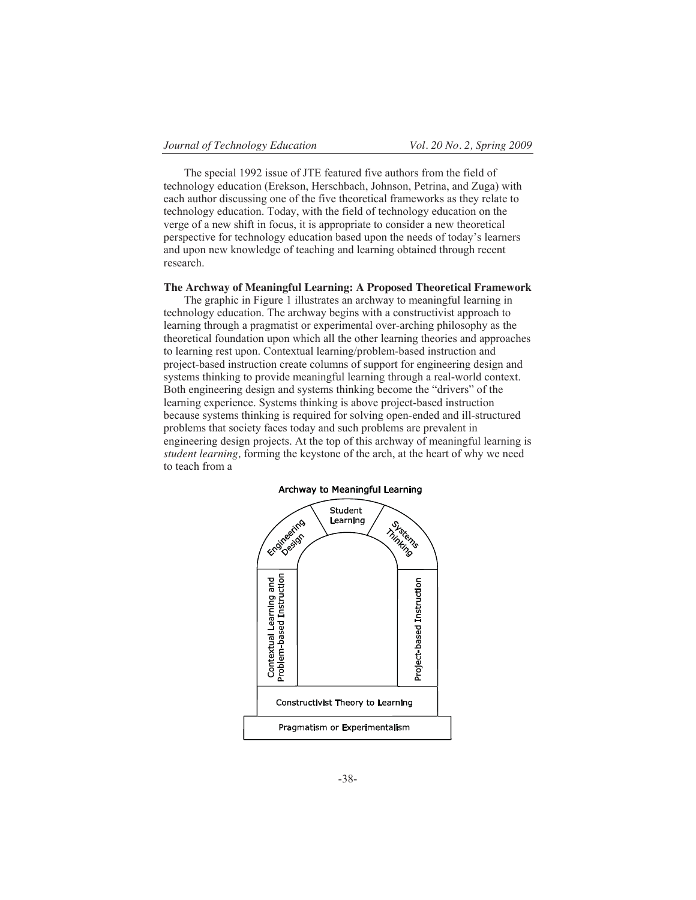The special 1992 issue of JTE featured five authors from the field of technology education (Erekson, Herschbach, Johnson, Petrina, and Zuga) with each author discussing one of the five theoretical frameworks as they relate to technology education. Today, with the field of technology education on the verge of a new shift in focus, it is appropriate to consider a new theoretical perspective for technology education based upon the needs of today's learners and upon new knowledge of teaching and learning obtained through recent research.

#### **The Archway of Meaningful Learning: A Proposed Theoretical Framework**

The graphic in Figure 1 illustrates an archway to meaningful learning in technology education. The archway begins with a constructivist approach to learning through a pragmatist or experimental over-arching philosophy as the theoretical foundation upon which all the other learning theories and approaches to learning rest upon. Contextual learning/problem-based instruction and project-based instruction create columns of support for engineering design and systems thinking to provide meaningful learning through a real-world context. Both engineering design and systems thinking become the "drivers" of the learning experience. Systems thinking is above project-based instruction because systems thinking is required for solving open-ended and ill-structured problems that society faces today and such problems are prevalent in engineering design projects. At the top of this archway of meaningful learning is *student learning,* forming the keystone of the arch, at the heart of why we need to teach from a



**Archway to Meaningful Learning**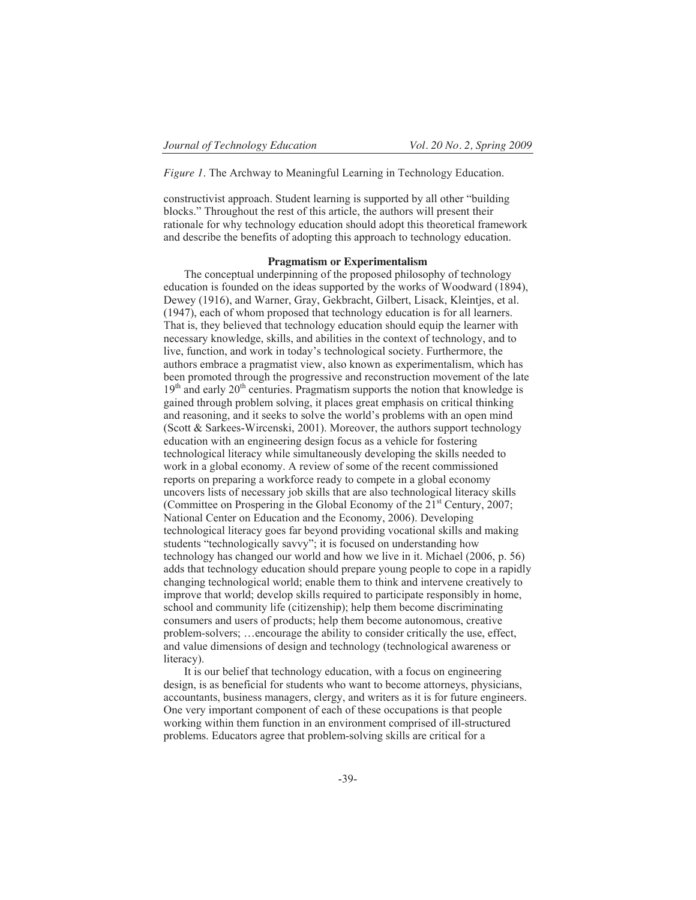*Figure 1*. The Archway to Meaningful Learning in Technology Education.

constructivist approach. Student learning is supported by all other "building blocks." Throughout the rest of this article, the authors will present their rationale for why technology education should adopt this theoretical framework and describe the benefits of adopting this approach to technology education.

### **Pragmatism or Experimentalism**

The conceptual underpinning of the proposed philosophy of technology education is founded on the ideas supported by the works of Woodward (1894), Dewey (1916), and Warner, Gray, Gekbracht, Gilbert, Lisack, Kleintjes, et al. (1947), each of whom proposed that technology education is for all learners. That is, they believed that technology education should equip the learner with necessary knowledge, skills, and abilities in the context of technology, and to live, function, and work in today's technological society. Furthermore, the authors embrace a pragmatist view, also known as experimentalism, which has been promoted through the progressive and reconstruction movement of the late  $19<sup>th</sup>$  and early  $20<sup>th</sup>$  centuries. Pragmatism supports the notion that knowledge is gained through problem solving, it places great emphasis on critical thinking and reasoning, and it seeks to solve the world's problems with an open mind (Scott & Sarkees-Wircenski, 2001). Moreover, the authors support technology education with an engineering design focus as a vehicle for fostering technological literacy while simultaneously developing the skills needed to work in a global economy. A review of some of the recent commissioned reports on preparing a workforce ready to compete in a global economy uncovers lists of necessary job skills that are also technological literacy skills (Committee on Prospering in the Global Economy of the 21<sup>st</sup> Century, 2007; National Center on Education and the Economy, 2006). Developing technological literacy goes far beyond providing vocational skills and making students "technologically savvy"; it is focused on understanding how technology has changed our world and how we live in it. Michael (2006, p. 56) adds that technology education should prepare young people to cope in a rapidly changing technological world; enable them to think and intervene creatively to improve that world; develop skills required to participate responsibly in home, school and community life (citizenship); help them become discriminating consumers and users of products; help them become autonomous, creative problem-solvers; …encourage the ability to consider critically the use, effect, and value dimensions of design and technology (technological awareness or literacy).

It is our belief that technology education, with a focus on engineering design, is as beneficial for students who want to become attorneys, physicians, accountants, business managers, clergy, and writers as it is for future engineers. One very important component of each of these occupations is that people working within them function in an environment comprised of ill-structured problems. Educators agree that problem-solving skills are critical for a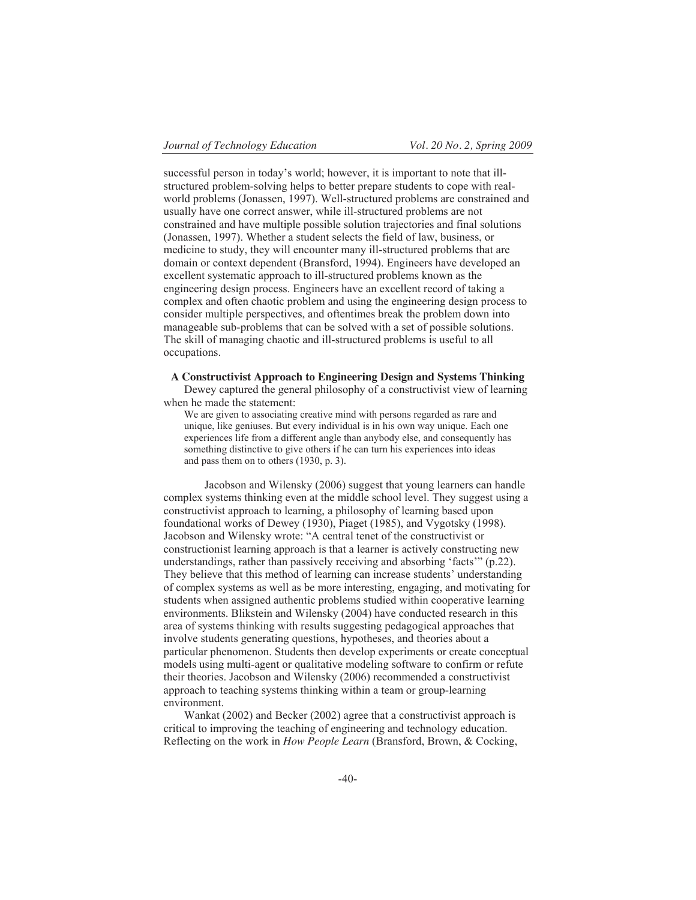successful person in today's world; however, it is important to note that illstructured problem-solving helps to better prepare students to cope with realworld problems (Jonassen, 1997). Well-structured problems are constrained and usually have one correct answer, while ill-structured problems are not constrained and have multiple possible solution trajectories and final solutions (Jonassen, 1997). Whether a student selects the field of law, business, or medicine to study, they will encounter many ill-structured problems that are domain or context dependent (Bransford, 1994). Engineers have developed an excellent systematic approach to ill-structured problems known as the engineering design process. Engineers have an excellent record of taking a complex and often chaotic problem and using the engineering design process to consider multiple perspectives, and oftentimes break the problem down into manageable sub-problems that can be solved with a set of possible solutions. The skill of managing chaotic and ill-structured problems is useful to all occupations.

**A Constructivist Approach to Engineering Design and Systems Thinking** 

Dewey captured the general philosophy of a constructivist view of learning when he made the statement:

We are given to associating creative mind with persons regarded as rare and unique, like geniuses. But every individual is in his own way unique. Each one experiences life from a different angle than anybody else, and consequently has something distinctive to give others if he can turn his experiences into ideas and pass them on to others (1930, p. 3).

 Jacobson and Wilensky (2006) suggest that young learners can handle complex systems thinking even at the middle school level. They suggest using a constructivist approach to learning, a philosophy of learning based upon foundational works of Dewey (1930), Piaget (1985), and Vygotsky (1998). Jacobson and Wilensky wrote: "A central tenet of the constructivist or constructionist learning approach is that a learner is actively constructing new understandings, rather than passively receiving and absorbing 'facts'" (p.22). They believe that this method of learning can increase students' understanding of complex systems as well as be more interesting, engaging, and motivating for students when assigned authentic problems studied within cooperative learning environments. Blikstein and Wilensky (2004) have conducted research in this area of systems thinking with results suggesting pedagogical approaches that involve students generating questions, hypotheses, and theories about a particular phenomenon. Students then develop experiments or create conceptual models using multi-agent or qualitative modeling software to confirm or refute their theories. Jacobson and Wilensky (2006) recommended a constructivist approach to teaching systems thinking within a team or group-learning environment.

Wankat (2002) and Becker (2002) agree that a constructivist approach is critical to improving the teaching of engineering and technology education. Reflecting on the work in *How People Learn* (Bransford, Brown, & Cocking,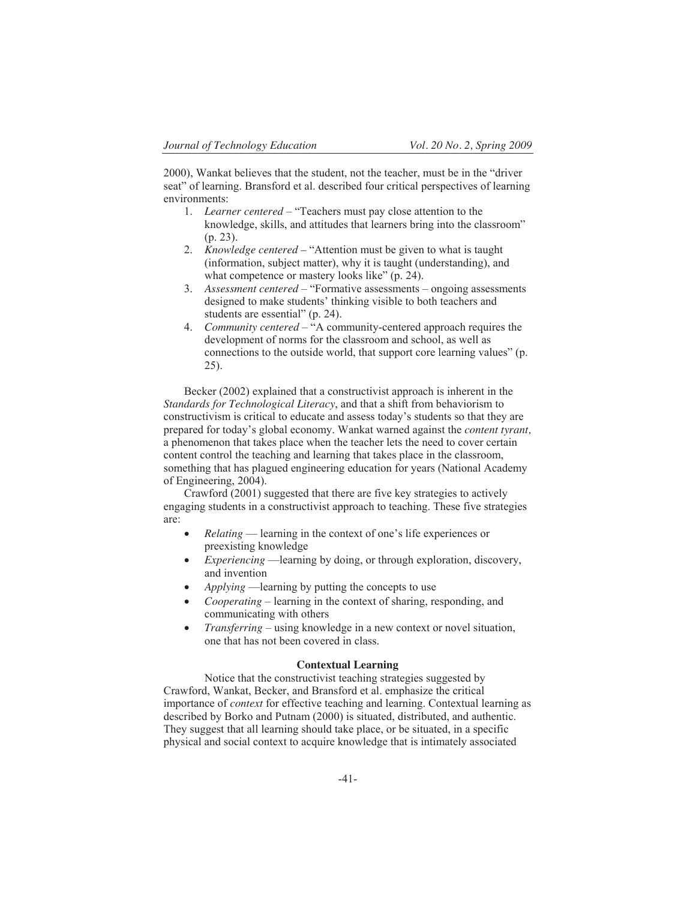2000), Wankat believes that the student, not the teacher, must be in the "driver seat" of learning. Bransford et al. described four critical perspectives of learning environments:

- 1. *Learner centered* "Teachers must pay close attention to the knowledge, skills, and attitudes that learners bring into the classroom" (p. 23).
- 2. *Knowledge centered* "Attention must be given to what is taught (information, subject matter), why it is taught (understanding), and what competence or mastery looks like" (p. 24).
- 3. *Assessment centered* "Formative assessments ongoing assessments designed to make students' thinking visible to both teachers and students are essential" (p. 24).
- 4. *Community centered*  "A community-centered approach requires the development of norms for the classroom and school, as well as connections to the outside world, that support core learning values" (p. 25).

Becker (2002) explained that a constructivist approach is inherent in the *Standards for Technological Literacy*, and that a shift from behaviorism to constructivism is critical to educate and assess today's students so that they are prepared for today's global economy. Wankat warned against the *content tyrant,* a phenomenon that takes place when the teacher lets the need to cover certain content control the teaching and learning that takes place in the classroom, something that has plagued engineering education for years (National Academy of Engineering, 2004).

Crawford (2001) suggested that there are five key strategies to actively engaging students in a constructivist approach to teaching. These five strategies are:

- x *Relating* learning in the context of one's life experiences or preexisting knowledge
- *Experiencing* —learning by doing, or through exploration, discovery, and invention
- x *Applying* —learning by putting the concepts to use
- *Cooperating* learning in the context of sharing, responding, and communicating with others
- x *Transferring* using knowledge in a new context or novel situation, one that has not been covered in class.

#### **Contextual Learning**

Notice that the constructivist teaching strategies suggested by Crawford, Wankat, Becker, and Bransford et al. emphasize the critical importance of *context* for effective teaching and learning. Contextual learning as described by Borko and Putnam (2000) is situated, distributed, and authentic. They suggest that all learning should take place, or be situated, in a specific physical and social context to acquire knowledge that is intimately associated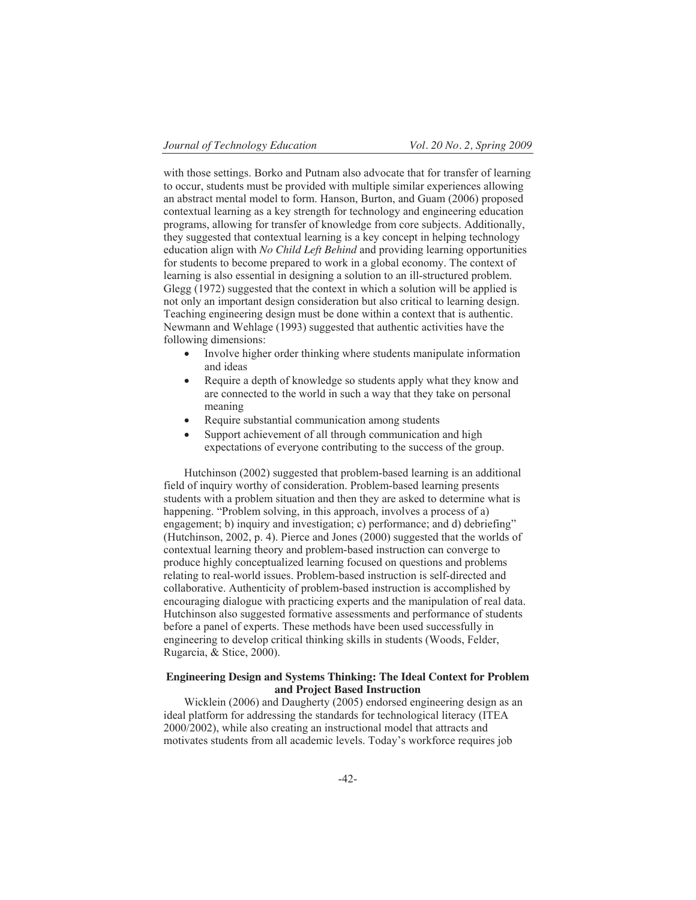with those settings. Borko and Putnam also advocate that for transfer of learning to occur, students must be provided with multiple similar experiences allowing an abstract mental model to form. Hanson, Burton, and Guam (2006) proposed contextual learning as a key strength for technology and engineering education programs, allowing for transfer of knowledge from core subjects. Additionally, they suggested that contextual learning is a key concept in helping technology education align with *No Child Left Behind* and providing learning opportunities for students to become prepared to work in a global economy. The context of learning is also essential in designing a solution to an ill-structured problem. Glegg (1972) suggested that the context in which a solution will be applied is not only an important design consideration but also critical to learning design. Teaching engineering design must be done within a context that is authentic. Newmann and Wehlage (1993) suggested that authentic activities have the following dimensions:

- Involve higher order thinking where students manipulate information and ideas
- Require a depth of knowledge so students apply what they know and are connected to the world in such a way that they take on personal meaning
- Require substantial communication among students
- Support achievement of all through communication and high expectations of everyone contributing to the success of the group.

Hutchinson (2002) suggested that problem-based learning is an additional field of inquiry worthy of consideration. Problem-based learning presents students with a problem situation and then they are asked to determine what is happening. "Problem solving, in this approach, involves a process of a) engagement; b) inquiry and investigation; c) performance; and d) debriefing" (Hutchinson, 2002, p. 4). Pierce and Jones (2000) suggested that the worlds of contextual learning theory and problem-based instruction can converge to produce highly conceptualized learning focused on questions and problems relating to real-world issues. Problem-based instruction is self-directed and collaborative. Authenticity of problem-based instruction is accomplished by encouraging dialogue with practicing experts and the manipulation of real data. Hutchinson also suggested formative assessments and performance of students before a panel of experts. These methods have been used successfully in engineering to develop critical thinking skills in students (Woods, Felder, Rugarcia, & Stice, 2000).

## **Engineering Design and Systems Thinking: The Ideal Context for Problem and Project Based Instruction**

Wicklein (2006) and Daugherty (2005) endorsed engineering design as an ideal platform for addressing the standards for technological literacy (ITEA 2000/2002), while also creating an instructional model that attracts and motivates students from all academic levels. Today's workforce requires job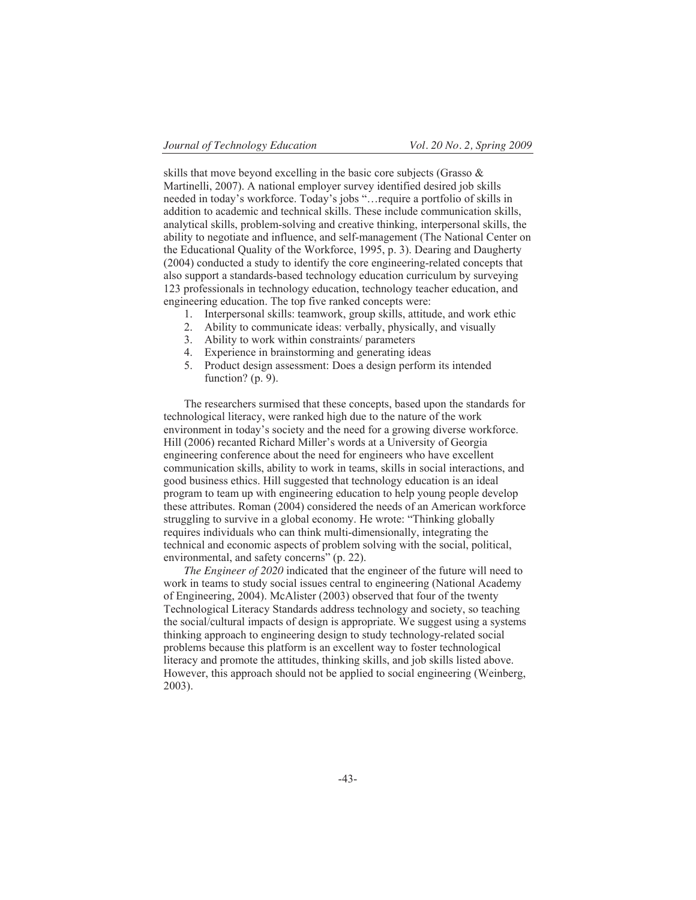skills that move beyond excelling in the basic core subjects (Grasso & Martinelli, 2007). A national employer survey identified desired job skills needed in today's workforce. Today's jobs "…require a portfolio of skills in addition to academic and technical skills. These include communication skills, analytical skills, problem-solving and creative thinking, interpersonal skills, the ability to negotiate and influence, and self-management (The National Center on the Educational Quality of the Workforce, 1995, p. 3). Dearing and Daugherty (2004) conducted a study to identify the core engineering-related concepts that also support a standards-based technology education curriculum by surveying 123 professionals in technology education, technology teacher education, and engineering education. The top five ranked concepts were:

- 1. Interpersonal skills: teamwork, group skills, attitude, and work ethic
- 2. Ability to communicate ideas: verbally, physically, and visually
- 3. Ability to work within constraints/ parameters
- 4. Experience in brainstorming and generating ideas
- 5. Product design assessment: Does a design perform its intended function? (p. 9).

The researchers surmised that these concepts, based upon the standards for technological literacy, were ranked high due to the nature of the work environment in today's society and the need for a growing diverse workforce. Hill (2006) recanted Richard Miller's words at a University of Georgia engineering conference about the need for engineers who have excellent communication skills, ability to work in teams, skills in social interactions, and good business ethics. Hill suggested that technology education is an ideal program to team up with engineering education to help young people develop these attributes. Roman (2004) considered the needs of an American workforce struggling to survive in a global economy. He wrote: "Thinking globally requires individuals who can think multi-dimensionally, integrating the technical and economic aspects of problem solving with the social, political, environmental, and safety concerns" (p. 22).

*The Engineer of 2020* indicated that the engineer of the future will need to work in teams to study social issues central to engineering (National Academy of Engineering, 2004). McAlister (2003) observed that four of the twenty Technological Literacy Standards address technology and society, so teaching the social/cultural impacts of design is appropriate. We suggest using a systems thinking approach to engineering design to study technology-related social problems because this platform is an excellent way to foster technological literacy and promote the attitudes, thinking skills, and job skills listed above. However, this approach should not be applied to social engineering (Weinberg, 2003).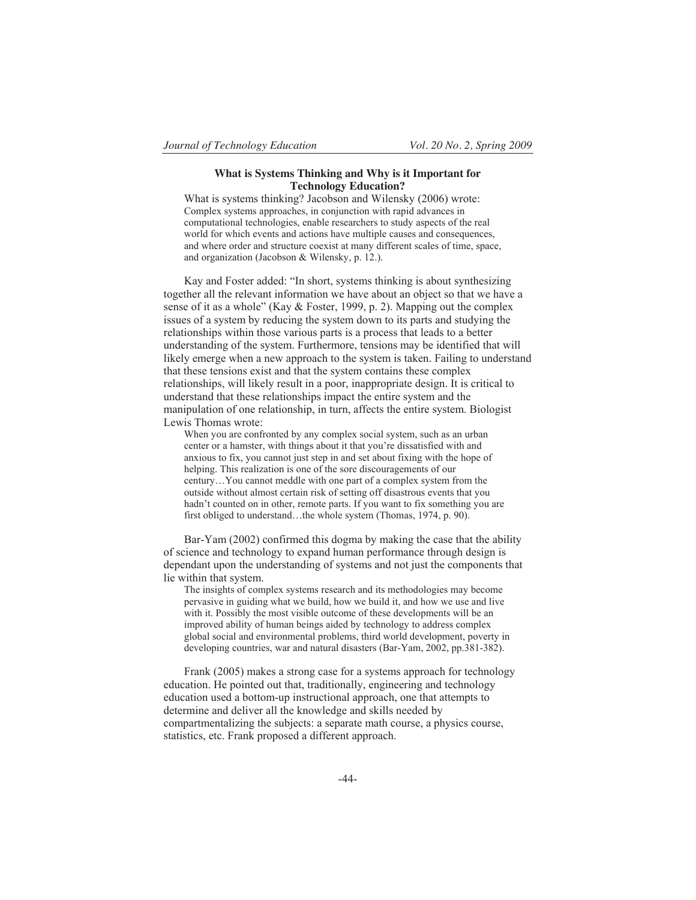#### **What is Systems Thinking and Why is it Important for Technology Education?**

What is systems thinking? Jacobson and Wilensky (2006) wrote: Complex systems approaches, in conjunction with rapid advances in computational technologies, enable researchers to study aspects of the real world for which events and actions have multiple causes and consequences, and where order and structure coexist at many different scales of time, space, and organization (Jacobson & Wilensky, p. 12.).

Kay and Foster added: "In short, systems thinking is about synthesizing together all the relevant information we have about an object so that we have a sense of it as a whole" (Kay & Foster, 1999, p. 2). Mapping out the complex issues of a system by reducing the system down to its parts and studying the relationships within those various parts is a process that leads to a better understanding of the system. Furthermore, tensions may be identified that will likely emerge when a new approach to the system is taken. Failing to understand that these tensions exist and that the system contains these complex relationships, will likely result in a poor, inappropriate design. It is critical to understand that these relationships impact the entire system and the manipulation of one relationship, in turn, affects the entire system. Biologist Lewis Thomas wrote:

When you are confronted by any complex social system, such as an urban center or a hamster, with things about it that you're dissatisfied with and anxious to fix, you cannot just step in and set about fixing with the hope of helping. This realization is one of the sore discouragements of our century…You cannot meddle with one part of a complex system from the outside without almost certain risk of setting off disastrous events that you hadn't counted on in other, remote parts. If you want to fix something you are first obliged to understand…the whole system (Thomas, 1974, p. 90).

Bar-Yam (2002) confirmed this dogma by making the case that the ability of science and technology to expand human performance through design is dependant upon the understanding of systems and not just the components that lie within that system.

The insights of complex systems research and its methodologies may become pervasive in guiding what we build, how we build it, and how we use and live with it. Possibly the most visible outcome of these developments will be an improved ability of human beings aided by technology to address complex global social and environmental problems, third world development, poverty in developing countries, war and natural disasters (Bar-Yam, 2002, pp.381-382).

Frank (2005) makes a strong case for a systems approach for technology education. He pointed out that, traditionally, engineering and technology education used a bottom-up instructional approach, one that attempts to determine and deliver all the knowledge and skills needed by compartmentalizing the subjects: a separate math course, a physics course, statistics, etc. Frank proposed a different approach.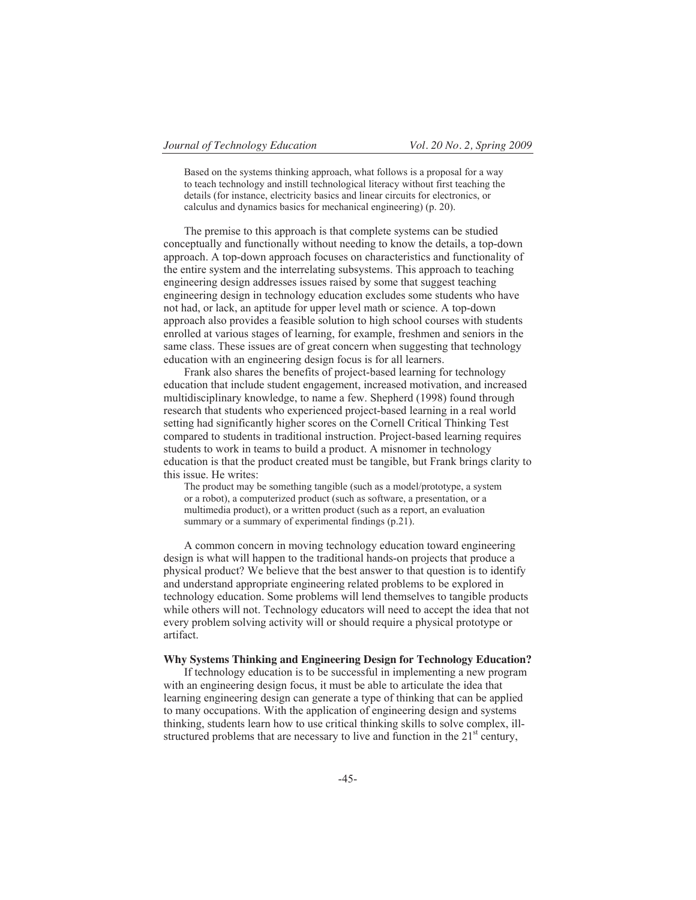Based on the systems thinking approach, what follows is a proposal for a way to teach technology and instill technological literacy without first teaching the details (for instance, electricity basics and linear circuits for electronics, or calculus and dynamics basics for mechanical engineering) (p. 20).

The premise to this approach is that complete systems can be studied conceptually and functionally without needing to know the details, a top-down approach. A top-down approach focuses on characteristics and functionality of the entire system and the interrelating subsystems. This approach to teaching engineering design addresses issues raised by some that suggest teaching engineering design in technology education excludes some students who have not had, or lack, an aptitude for upper level math or science. A top-down approach also provides a feasible solution to high school courses with students enrolled at various stages of learning, for example, freshmen and seniors in the same class. These issues are of great concern when suggesting that technology education with an engineering design focus is for all learners.

Frank also shares the benefits of project-based learning for technology education that include student engagement, increased motivation, and increased multidisciplinary knowledge, to name a few. Shepherd (1998) found through research that students who experienced project-based learning in a real world setting had significantly higher scores on the Cornell Critical Thinking Test compared to students in traditional instruction. Project-based learning requires students to work in teams to build a product. A misnomer in technology education is that the product created must be tangible, but Frank brings clarity to this issue. He writes:

The product may be something tangible (such as a model/prototype, a system or a robot), a computerized product (such as software, a presentation, or a multimedia product), or a written product (such as a report, an evaluation summary or a summary of experimental findings (p.21).

A common concern in moving technology education toward engineering design is what will happen to the traditional hands-on projects that produce a physical product? We believe that the best answer to that question is to identify and understand appropriate engineering related problems to be explored in technology education. Some problems will lend themselves to tangible products while others will not. Technology educators will need to accept the idea that not every problem solving activity will or should require a physical prototype or artifact.

#### **Why Systems Thinking and Engineering Design for Technology Education?**

If technology education is to be successful in implementing a new program with an engineering design focus, it must be able to articulate the idea that learning engineering design can generate a type of thinking that can be applied to many occupations. With the application of engineering design and systems thinking, students learn how to use critical thinking skills to solve complex, illstructured problems that are necessary to live and function in the  $21<sup>st</sup>$  century,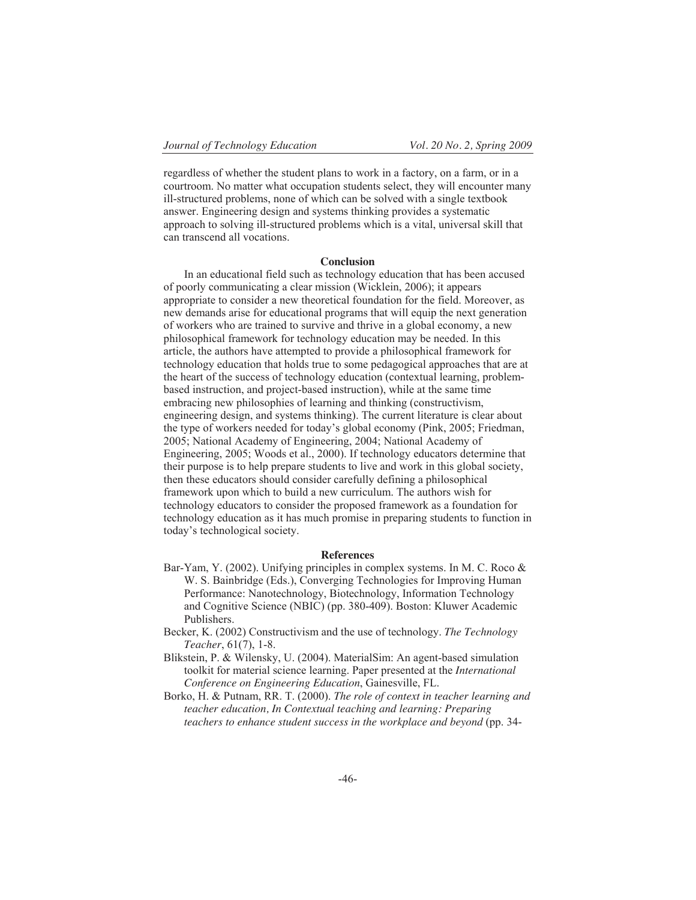regardless of whether the student plans to work in a factory, on a farm, or in a courtroom. No matter what occupation students select, they will encounter many ill-structured problems, none of which can be solved with a single textbook answer. Engineering design and systems thinking provides a systematic approach to solving ill-structured problems which is a vital, universal skill that can transcend all vocations.

#### **Conclusion**

In an educational field such as technology education that has been accused of poorly communicating a clear mission (Wicklein, 2006); it appears appropriate to consider a new theoretical foundation for the field. Moreover, as new demands arise for educational programs that will equip the next generation of workers who are trained to survive and thrive in a global economy, a new philosophical framework for technology education may be needed. In this article, the authors have attempted to provide a philosophical framework for technology education that holds true to some pedagogical approaches that are at the heart of the success of technology education (contextual learning, problembased instruction, and project-based instruction), while at the same time embracing new philosophies of learning and thinking (constructivism, engineering design, and systems thinking). The current literature is clear about the type of workers needed for today's global economy (Pink, 2005; Friedman, 2005; National Academy of Engineering, 2004; National Academy of Engineering, 2005; Woods et al., 2000). If technology educators determine that their purpose is to help prepare students to live and work in this global society, then these educators should consider carefully defining a philosophical framework upon which to build a new curriculum. The authors wish for technology educators to consider the proposed framework as a foundation for technology education as it has much promise in preparing students to function in today's technological society.

#### **References**

- Bar-Yam, Y. (2002). Unifying principles in complex systems. In M. C. Roco & W. S. Bainbridge (Eds.), Converging Technologies for Improving Human Performance: Nanotechnology, Biotechnology, Information Technology and Cognitive Science (NBIC) (pp. 380-409). Boston: Kluwer Academic Publishers.
- Becker, K. (2002) Constructivism and the use of technology. *The Technology Teacher*, 61(7), 1-8.
- Blikstein, P. & Wilensky, U. (2004). MaterialSim: An agent-based simulation toolkit for material science learning. Paper presented at the *International Conference on Engineering Education*, Gainesville, FL.
- Borko, H. & Putnam, RR. T. (2000). *The role of context in teacher learning and teacher education, In Contextual teaching and learning: Preparing teachers to enhance student success in the workplace and beyond* (pp. 34-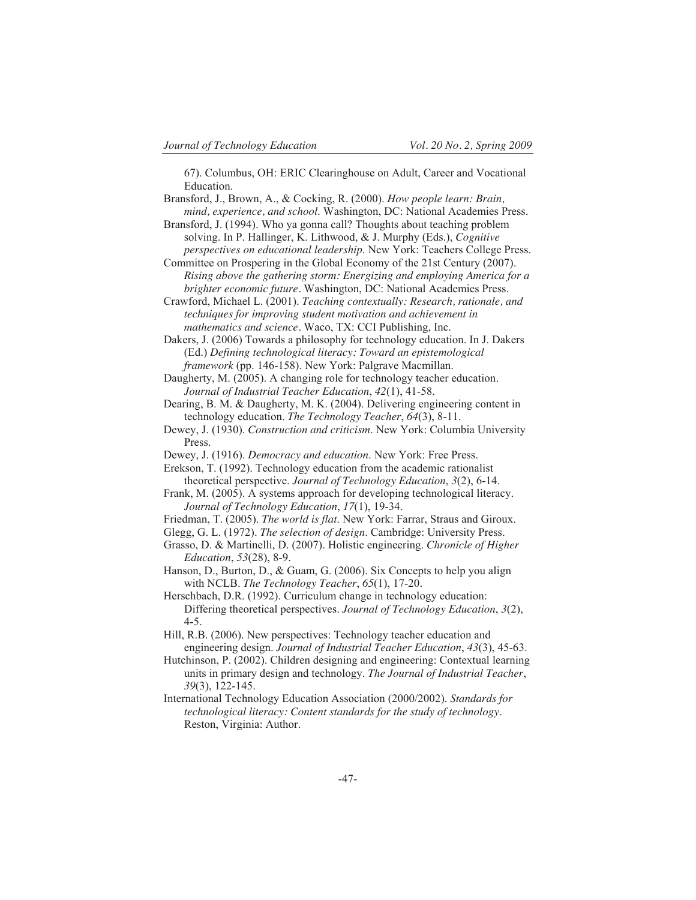67). Columbus, OH: ERIC Clearinghouse on Adult, Career and Vocational Education.

- Bransford, J., Brown, A., & Cocking, R. (2000). *How people learn: Brain, mind, experience, and school*. Washington, DC: National Academies Press.
- Bransford, J. (1994). Who ya gonna call? Thoughts about teaching problem solving. In P. Hallinger, K. Lithwood, & J. Murphy (Eds.), *Cognitive perspectives on educational leadership*. New York: Teachers College Press.
- Committee on Prospering in the Global Economy of the 21st Century (2007). *Rising above the gathering storm: Energizing and employing America for a brighter economic future.* Washington, DC: National Academies Press.

Crawford, Michael L. (2001). *Teaching contextually: Research, rationale, and techniques for improving student motivation and achievement in mathematics and science.* Waco, TX: CCI Publishing, Inc.

Dakers, J. (2006) Towards a philosophy for technology education. In J. Dakers (Ed.) *Defining technological literacy: Toward an epistemological framework* (pp. 146-158). New York: Palgrave Macmillan.

- Daugherty, M. (2005). A changing role for technology teacher education. *Journal of Industrial Teacher Education*, *42*(1), 41-58.
- Dearing, B. M. & Daugherty, M. K. (2004). Delivering engineering content in technology education. *The Technology Teacher*, *64*(3), 8-11.
- Dewey, J. (1930). *Construction and criticism*. New York: Columbia University Press.
- Dewey, J. (1916). *Democracy and education*. New York: Free Press.

Erekson, T. (1992). Technology education from the academic rationalist theoretical perspective. *Journal of Technology Education*, *3*(2), 6-14.

- Frank, M. (2005). A systems approach for developing technological literacy. *Journal of Technology Education*, *17*(1), 19-34.
- Friedman, T. (2005). *The world is flat*. New York: Farrar, Straus and Giroux.
- Glegg, G. L. (1972). *The selection of design*. Cambridge: University Press.
- Grasso, D. & Martinelli, D. (2007). Holistic engineering. *Chronicle of Higher Education*, *53*(28), 8-9.

Hanson, D., Burton, D., & Guam, G. (2006). Six Concepts to help you align with NCLB. *The Technology Teacher*, *65*(1), 17-20.

- Herschbach, D.R. (1992). Curriculum change in technology education: Differing theoretical perspectives. *Journal of Technology Education*, *3*(2), 4-5.
- Hill, R.B. (2006). New perspectives: Technology teacher education and engineering design. *Journal of Industrial Teacher Education*, *43*(3), 45-63.
- Hutchinson, P. (2002). Children designing and engineering: Contextual learning units in primary design and technology. *The Journal of Industrial Teacher*, *39*(3), 122-145.
- International Technology Education Association (2000/2002). *Standards for technological literacy: Content standards for the study of technology.* Reston, Virginia: Author.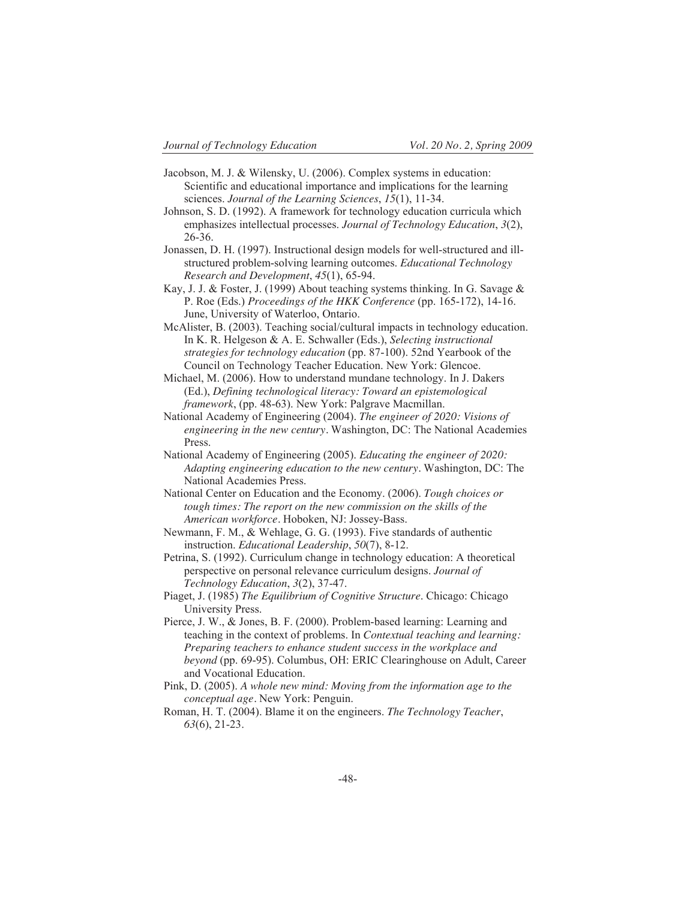- Jacobson, M. J. & Wilensky, U. (2006). Complex systems in education: Scientific and educational importance and implications for the learning sciences. *Journal of the Learning Sciences*, *15*(1), 11-34.
- Johnson, S. D. (1992). A framework for technology education curricula which emphasizes intellectual processes. *Journal of Technology Education*, *3*(2), 26-36.
- Jonassen, D. H. (1997). Instructional design models for well-structured and illstructured problem-solving learning outcomes. *Educational Technology Research and Development*, *45*(1), 65-94.
- Kay, J. J. & Foster, J. (1999) About teaching systems thinking. In G. Savage & P. Roe (Eds.) *Proceedings of the HKK Conference* (pp. 165-172), 14-16. June, University of Waterloo, Ontario.
- McAlister, B. (2003). Teaching social/cultural impacts in technology education. In K. R. Helgeson & A. E. Schwaller (Eds.), *Selecting instructional strategies for technology education* (pp. 87-100). 52nd Yearbook of the Council on Technology Teacher Education. New York: Glencoe.
- Michael, M. (2006). How to understand mundane technology. In J. Dakers (Ed.), *Defining technological literacy: Toward an epistemological framework*, (pp. 48-63). New York: Palgrave Macmillan.
- National Academy of Engineering (2004). *The engineer of 2020: Visions of engineering in the new century.* Washington, DC: The National Academies Press.
- National Academy of Engineering (2005). *Educating the engineer of 2020: Adapting engineering education to the new century.* Washington, DC: The National Academies Press.
- National Center on Education and the Economy. (2006). *Tough choices or tough times: The report on the new commission on the skills of the American workforce.* Hoboken, NJ: Jossey-Bass.
- Newmann, F. M., & Wehlage, G. G. (1993). Five standards of authentic instruction. *Educational Leadership*, *50*(7), 8-12.
- Petrina, S. (1992). Curriculum change in technology education: A theoretical perspective on personal relevance curriculum designs. *Journal of Technology Education*, *3*(2), 37-47.
- Piaget, J. (1985) *The Equilibrium of Cognitive Structure*. Chicago: Chicago University Press.
- Pierce, J. W., & Jones, B. F. (2000). Problem-based learning: Learning and teaching in the context of problems. In *Contextual teaching and learning: Preparing teachers to enhance student success in the workplace and beyond* (pp. 69-95). Columbus, OH: ERIC Clearinghouse on Adult, Career and Vocational Education.
- Pink, D. (2005). *A whole new mind: Moving from the information age to the conceptual age.* New York: Penguin.
- Roman, H. T. (2004). Blame it on the engineers. *The Technology Teacher*, *63*(6), 21-23.